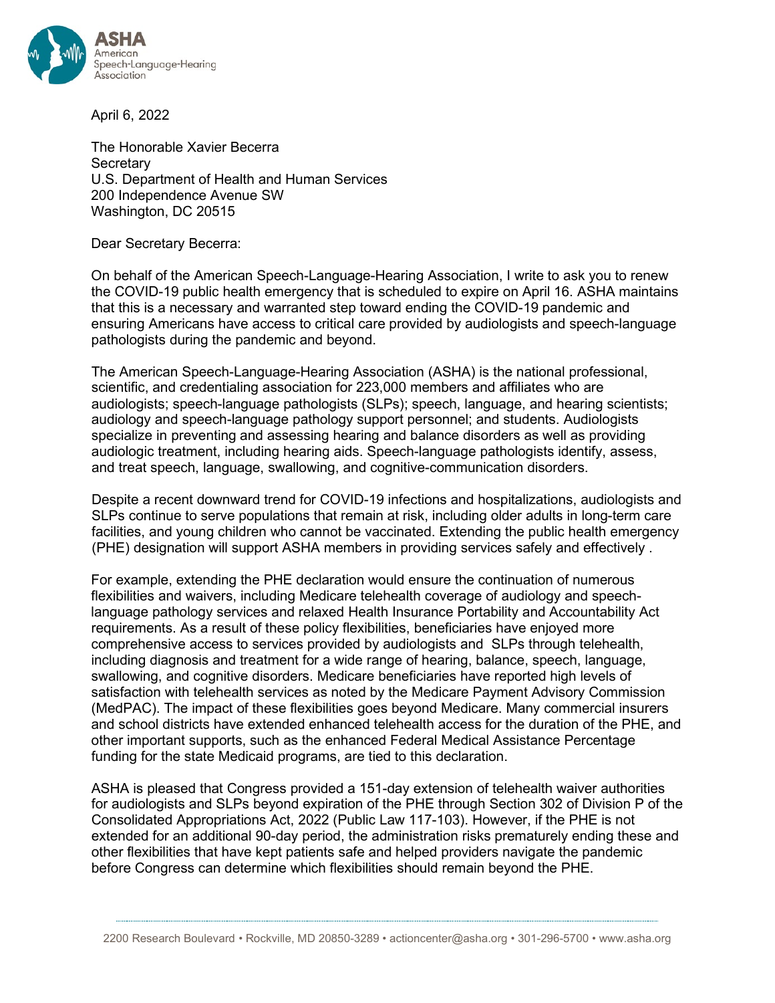

April 6, 2022

The Honorable Xavier Becerra **Secretary** U.S. Department of Health and Human Services 200 Independence Avenue SW Washington, DC 20515

Dear Secretary Becerra:

On behalf of the American Speech-Language-Hearing Association, I write to ask you to renew the COVID-19 public health emergency that is scheduled to expire on April 16. ASHA maintains that this is a necessary and warranted step toward ending the COVID-19 pandemic and ensuring Americans have access to critical care provided by audiologists and speech-language pathologists during the pandemic and beyond.

The American Speech-Language-Hearing Association (ASHA) is the national professional, scientific, and credentialing association for 223,000 members and affiliates who are audiologists; speech-language pathologists (SLPs); speech, language, and hearing scientists; audiology and speech-language pathology support personnel; and students. Audiologists specialize in preventing and assessing hearing and balance disorders as well as providing audiologic treatment, including hearing aids. Speech-language pathologists identify, assess, and treat speech, language, swallowing, and cognitive-communication disorders.

Despite a recent downward trend for COVID-19 infections and hospitalizations, audiologists and SLPs continue to serve populations that remain at risk, including older adults in long-term care facilities, and young children who cannot be vaccinated. Extending the public health emergency (PHE) designation will support ASHA members in providing services safely and effectively .

For example, extending the PHE declaration would ensure the continuation of numerous flexibilities and waivers, including Medicare telehealth coverage of audiology and speechlanguage pathology services and relaxed Health Insurance Portability and Accountability Act requirements. As a result of these policy flexibilities, beneficiaries have enjoyed more comprehensive access to services provided by audiologists and SLPs through telehealth, including diagnosis and treatment for a wide range of hearing, balance, speech, language, swallowing, and cognitive disorders. Medicare beneficiaries have reported high levels of satisfaction with telehealth services as noted by the Medicare Payment Advisory Commission (MedPAC). The impact of these flexibilities goes beyond Medicare. Many commercial insurers and school districts have extended enhanced telehealth access for the duration of the PHE, and other important supports, such as the enhanced Federal Medical Assistance Percentage funding for the state Medicaid programs, are tied to this declaration.

ASHA is pleased that Congress provided a 151-day extension of telehealth waiver authorities for audiologists and SLPs beyond expiration of the PHE through Section 302 of Division P of the Consolidated Appropriations Act, 2022 (Public Law 117-103). However, if the PHE is not extended for an additional 90-day period, the administration risks prematurely ending these and other flexibilities that have kept patients safe and helped providers navigate the pandemic before Congress can determine which flexibilities should remain beyond the PHE.